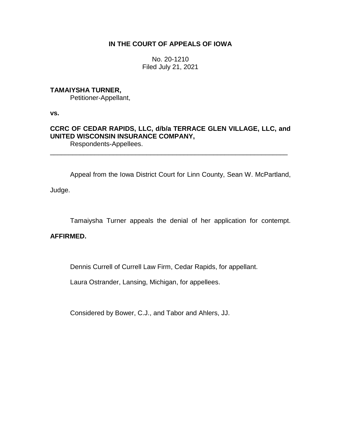### **IN THE COURT OF APPEALS OF IOWA**

No. 20-1210 Filed July 21, 2021

## **TAMAIYSHA TURNER,**

Petitioner-Appellant,

**vs.**

# **CCRC OF CEDAR RAPIDS, LLC, d/b/a TERRACE GLEN VILLAGE, LLC, and UNITED WISCONSIN INSURANCE COMPANY,**

Respondents-Appellees. \_\_\_\_\_\_\_\_\_\_\_\_\_\_\_\_\_\_\_\_\_\_\_\_\_\_\_\_\_\_\_\_\_\_\_\_\_\_\_\_\_\_\_\_\_\_\_\_\_\_\_\_\_\_\_\_\_\_\_\_\_\_\_\_

Appeal from the Iowa District Court for Linn County, Sean W. McPartland,

Judge.

Tamaiysha Turner appeals the denial of her application for contempt.

### **AFFIRMED.**

Dennis Currell of Currell Law Firm, Cedar Rapids, for appellant.

Laura Ostrander, Lansing, Michigan, for appellees.

Considered by Bower, C.J., and Tabor and Ahlers, JJ.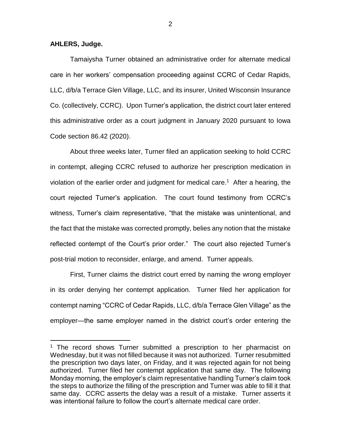#### **AHLERS, Judge.**

 $\overline{a}$ 

Tamaiysha Turner obtained an administrative order for alternate medical care in her workers' compensation proceeding against CCRC of Cedar Rapids, LLC, d/b/a Terrace Glen Village, LLC, and its insurer, United Wisconsin Insurance Co. (collectively, CCRC). Upon Turner's application, the district court later entered this administrative order as a court judgment in January 2020 pursuant to Iowa Code section 86.42 (2020).

About three weeks later, Turner filed an application seeking to hold CCRC in contempt, alleging CCRC refused to authorize her prescription medication in violation of the earlier order and judgment for medical care. 1 After a hearing, the court rejected Turner's application. The court found testimony from CCRC's witness, Turner's claim representative, "that the mistake was unintentional, and the fact that the mistake was corrected promptly, belies any notion that the mistake reflected contempt of the Court's prior order." The court also rejected Turner's post-trial motion to reconsider, enlarge, and amend. Turner appeals.

First, Turner claims the district court erred by naming the wrong employer in its order denying her contempt application. Turner filed her application for contempt naming "CCRC of Cedar Rapids, LLC, d/b/a Terrace Glen Village" as the employer—the same employer named in the district court's order entering the

2

<sup>&</sup>lt;sup>1</sup> The record shows Turner submitted a prescription to her pharmacist on Wednesday, but it was not filled because it was not authorized. Turner resubmitted the prescription two days later, on Friday, and it was rejected again for not being authorized. Turner filed her contempt application that same day. The following Monday morning, the employer's claim representative handling Turner's claim took the steps to authorize the filling of the prescription and Turner was able to fill it that same day. CCRC asserts the delay was a result of a mistake. Turner asserts it was intentional failure to follow the court's alternate medical care order.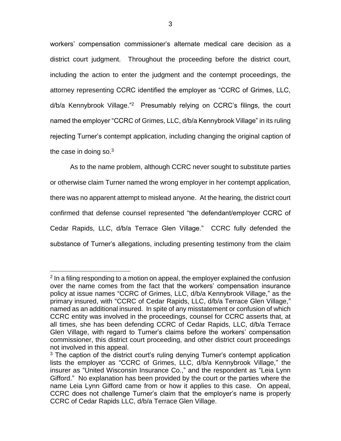workers' compensation commissioner's alternate medical care decision as a district court judgment. Throughout the proceeding before the district court, including the action to enter the judgment and the contempt proceedings, the attorney representing CCRC identified the employer as "CCRC of Grimes, LLC, d/b/a Kennybrook Village."<sup>2</sup> Presumably relying on CCRC's filings, the court named the employer "CCRC of Grimes, LLC, d/b/a Kennybrook Village" in its ruling rejecting Turner's contempt application, including changing the original caption of the case in doing so. $3$ 

As to the name problem, although CCRC never sought to substitute parties or otherwise claim Turner named the wrong employer in her contempt application, there was no apparent attempt to mislead anyone. At the hearing, the district court confirmed that defense counsel represented "the defendant/employer CCRC of Cedar Rapids, LLC, d/b/a Terrace Glen Village." CCRC fully defended the substance of Turner's allegations, including presenting testimony from the claim

 $\overline{a}$ 

<sup>&</sup>lt;sup>2</sup> In a filing responding to a motion on appeal, the employer explained the confusion over the name comes from the fact that the workers' compensation insurance policy at issue names "CCRC of Grimes, LLC, d/b/a Kennybrook Village," as the primary insured, with "CCRC of Cedar Rapids, LLC, d/b/a Terrace Glen Village," named as an additional insured. In spite of any misstatement or confusion of which CCRC entity was involved in the proceedings, counsel for CCRC asserts that, at all times, she has been defending CCRC of Cedar Rapids, LLC, d/b/a Terrace Glen Village, with regard to Turner's claims before the workers' compensation commissioner, this district court proceeding, and other district court proceedings not involved in this appeal.

 $3$  The caption of the district court's ruling denying Turner's contempt application lists the employer as "CCRC of Grimes, LLC, d/b/a Kennybrook Village," the insurer as "United Wisconsin Insurance Co.," and the respondent as "Leia Lynn Gifford." No explanation has been provided by the court or the parties where the name Leia Lynn Gifford came from or how it applies to this case. On appeal, CCRC does not challenge Turner's claim that the employer's name is properly CCRC of Cedar Rapids LLC, d/b/a Terrace Glen Village.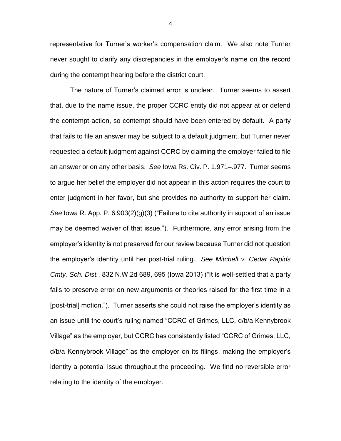representative for Turner's worker's compensation claim. We also note Turner never sought to clarify any discrepancies in the employer's name on the record during the contempt hearing before the district court.

The nature of Turner's claimed error is unclear. Turner seems to assert that, due to the name issue, the proper CCRC entity did not appear at or defend the contempt action, so contempt should have been entered by default. A party that fails to file an answer may be subject to a default judgment, but Turner never requested a default judgment against CCRC by claiming the employer failed to file an answer or on any other basis. *See* Iowa Rs. Civ. P. 1.971–.977. Turner seems to argue her belief the employer did not appear in this action requires the court to enter judgment in her favor, but she provides no authority to support her claim. *See* Iowa R. App. P. 6.903(2)(g)(3) ("Failure to cite authority in support of an issue may be deemed waiver of that issue."). Furthermore, any error arising from the employer's identity is not preserved for our review because Turner did not question the employer's identity until her post-trial ruling. *See Mitchell v. Cedar Rapids Cmty. Sch. Dist.*, 832 N.W.2d 689, 695 (Iowa 2013) ("It is well-settled that a party fails to preserve error on new arguments or theories raised for the first time in a [post-trial] motion."). Turner asserts she could not raise the employer's identity as an issue until the court's ruling named "CCRC of Grimes, LLC, d/b/a Kennybrook Village" as the employer, but CCRC has consistently listed "CCRC of Grimes, LLC, d/b/a Kennybrook Village" as the employer on its filings, making the employer's identity a potential issue throughout the proceeding. We find no reversible error relating to the identity of the employer.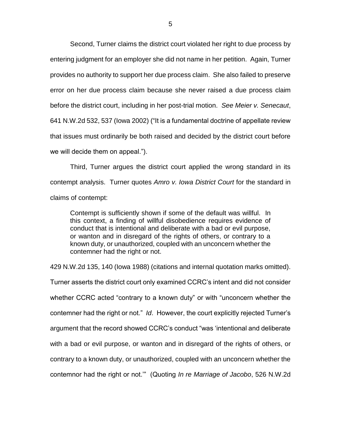Second, Turner claims the district court violated her right to due process by entering judgment for an employer she did not name in her petition. Again, Turner provides no authority to support her due process claim. She also failed to preserve error on her due process claim because she never raised a due process claim before the district court, including in her post-trial motion. *See Meier v. Senecaut*, 641 N.W.2d 532, 537 (Iowa 2002) ("It is a fundamental doctrine of appellate review that issues must ordinarily be both raised and decided by the district court before we will decide them on appeal.").

Third, Turner argues the district court applied the wrong standard in its contempt analysis. Turner quotes *Amro v. Iowa District Court* for the standard in claims of contempt:

Contempt is sufficiently shown if some of the default was willful. In this context, a finding of willful disobedience requires evidence of conduct that is intentional and deliberate with a bad or evil purpose, or wanton and in disregard of the rights of others, or contrary to a known duty, or unauthorized, coupled with an unconcern whether the contemner had the right or not.

429 N.W.2d 135, 140 (Iowa 1988) (citations and internal quotation marks omitted).

Turner asserts the district court only examined CCRC's intent and did not consider whether CCRC acted "contrary to a known duty" or with "unconcern whether the contemner had the right or not." *Id*. However, the court explicitly rejected Turner's argument that the record showed CCRC's conduct "was 'intentional and deliberate with a bad or evil purpose, or wanton and in disregard of the rights of others, or contrary to a known duty, or unauthorized, coupled with an unconcern whether the contemnor had the right or not.'" (Quoting *In re Marriage of Jacobo*, 526 N.W.2d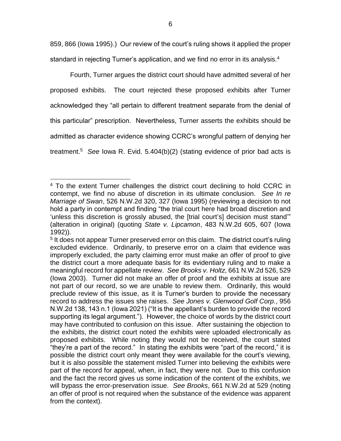859, 866 (Iowa 1995).) Our review of the court's ruling shows it applied the proper standard in rejecting Turner's application, and we find no error in its analysis.<sup>4</sup>

Fourth, Turner argues the district court should have admitted several of her proposed exhibits. The court rejected these proposed exhibits after Turner acknowledged they "all pertain to different treatment separate from the denial of this particular" prescription. Nevertheless, Turner asserts the exhibits should be admitted as character evidence showing CCRC's wrongful pattern of denying her treatment.<sup>5</sup> *See* Iowa R. Evid. 5.404(b)(2) (stating evidence of prior bad acts is

 $\overline{a}$ <sup>4</sup> To the extent Turner challenges the district court declining to hold CCRC in contempt, we find no abuse of discretion in its ultimate conclusion. *See In re Marriage of Swan*, 526 N.W.2d 320, 327 (Iowa 1995) (reviewing a decision to not hold a party in contempt and finding "the trial court here had broad discretion and 'unless this discretion is grossly abused, the [trial court's] decision must stand'" (alteration in original) (quoting *State v. Lipcamon*, 483 N.W.2d 605, 607 (Iowa 1992)).

<sup>&</sup>lt;sup>5</sup> It does not appear Turner preserved error on this claim. The district court's ruling excluded evidence. Ordinarily, to preserve error on a claim that evidence was improperly excluded, the party claiming error must make an offer of proof to give the district court a more adequate basis for its evidentiary ruling and to make a meaningful record for appellate review. *See Brooks v. Holtz*, 661 N.W.2d 526, 529 (Iowa 2003). Turner did not make an offer of proof and the exhibits at issue are not part of our record, so we are unable to review them. Ordinarily, this would preclude review of this issue, as it is Turner's burden to provide the necessary record to address the issues she raises. *See Jones v. Glenwood Golf Corp.*, 956 N.W.2d 138, 143 n.1 (Iowa 2021) ("It is the appellant's burden to provide the record supporting its legal argument."). However, the choice of words by the district court may have contributed to confusion on this issue. After sustaining the objection to the exhibits, the district court noted the exhibits were uploaded electronically as proposed exhibits. While noting they would not be received, the court stated "they're a part of the record." In stating the exhibits were "part of the record," it is possible the district court only meant they were available for the court's viewing, but it is also possible the statement misled Turner into believing the exhibits were part of the record for appeal, when, in fact, they were not. Due to this confusion and the fact the record gives us some indication of the content of the exhibits, we will bypass the error-preservation issue. *See Brooks*, 661 N.W.2d at 529 (noting an offer of proof is not required when the substance of the evidence was apparent from the context).